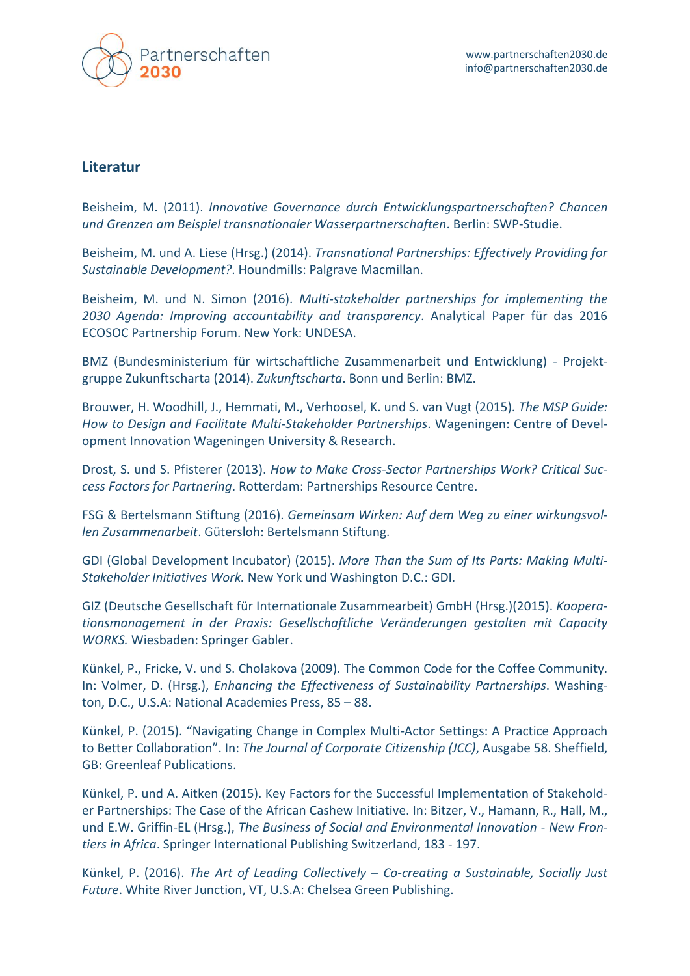

## **Literatur**

Beisheim, M. (2011). *Innovative Governance durch Entwicklungspartnerschaften? Chancen und Grenzen am Beispiel transnationaler Wasserpartnerschaften*. Berlin: SWP-Studie.

Beisheim, M. und A. Liese (Hrsg.) (2014). *Transnational Partnerships: Effectively Providing for Sustainable Development?*. Houndmills: Palgrave Macmillan.

Beisheim, M. und N. Simon (2016). *Multi-stakeholder partnerships for implementing the 2030 Agenda: Improving accountability and transparency*. Analytical Paper für das 2016 ECOSOC Partnership Forum. New York: UNDESA.

BMZ (Bundesministerium für wirtschaftliche Zusammenarbeit und Entwicklung) - Projektgruppe Zukunftscharta (2014). *Zukunftscharta*. Bonn und Berlin: BMZ.

Brouwer, H. Woodhill, J., Hemmati, M., Verhoosel, K. und S. van Vugt (2015). *The MSP Guide: How to Design and Facilitate Multi-Stakeholder Partnerships*. Wageningen: Centre of Development Innovation Wageningen University & Research.

Drost, S. und S. Pfisterer (2013). *How to Make Cross-Sector Partnerships Work? Critical Success Factors for Partnering*. Rotterdam: Partnerships Resource Centre.

FSG & Bertelsmann Stiftung (2016). *Gemeinsam Wirken: Auf dem Weg zu einer wirkungsvollen Zusammenarbeit*. Gütersloh: Bertelsmann Stiftung.

GDI (Global Development Incubator) (2015). *More Than the Sum of Its Parts: Making Multi-Stakeholder Initiatives Work.* New York und Washington D.C.: GDI.

GIZ (Deutsche Gesellschaft für Internationale Zusammearbeit) GmbH (Hrsg.)(2015). *Kooperationsmanagement in der Praxis: Gesellschaftliche Veränderungen gestalten mit Capacity WORKS.* Wiesbaden: Springer Gabler.

Künkel, P., Fricke, V. und S. Cholakova (2009). The Common Code for the Coffee Community. In: Volmer, D. (Hrsg.), *Enhancing the Effectiveness of Sustainability Partnerships*. Washington, D.C., U.S.A: National Academies Press, 85 – 88.

Künkel, P. (2015). "Navigating Change in Complex Multi-Actor Settings: A Practice Approach to Better Collaboration". In: *The Journal of Corporate Citizenship (JCC)*, Ausgabe 58. Sheffield, GB: Greenleaf Publications.

Künkel, P. und A. Aitken (2015). Key Factors for the Successful Implementation of Stakeholder Partnerships: The Case of the African Cashew Initiative. In: Bitzer, V., Hamann, R., Hall, M., und E.W. Griffin-EL (Hrsg.), *The Business of Social and Environmental Innovation - New Frontiers in Africa*. Springer International Publishing Switzerland, 183 - 197.

Künkel, P. (2016). *The Art of Leading Collectively – Co-creating a Sustainable, Socially Just Future*. White River Junction, VT, U.S.A: Chelsea Green Publishing.